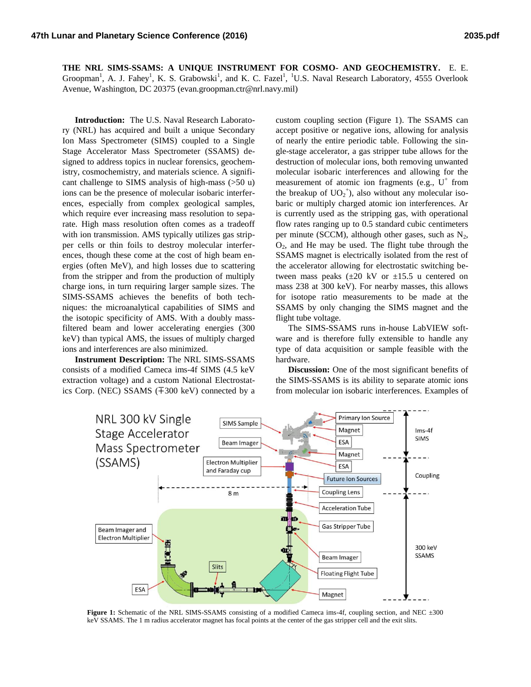**THE NRL SIMS-SSAMS: A UNIQUE INSTRUMENT FOR COSMO- AND GEOCHEMISTRY.** E. E. Groopman<sup>1</sup>, A. J. Fahey<sup>1</sup>, K. S. Grabowski<sup>1</sup>, and K. C. Fazel<sup>1</sup>, <sup>1</sup>U.S. Naval Research Laboratory, 4555 Overlook Avenue, Washington, DC 20375 (evan.groopman.ctr@nrl.navy.mil)

**Introduction:** The U.S. Naval Research Laboratory (NRL) has acquired and built a unique Secondary Ion Mass Spectrometer (SIMS) coupled to a Single Stage Accelerator Mass Spectrometer (SSAMS) designed to address topics in nuclear forensics, geochemistry, cosmochemistry, and materials science. A significant challenge to SIMS analysis of high-mass (>50 u) ions can be the presence of molecular isobaric interferences, especially from complex geological samples, which require ever increasing mass resolution to separate. High mass resolution often comes as a tradeoff with ion transmission. AMS typically utilizes gas stripper cells or thin foils to destroy molecular interferences, though these come at the cost of high beam energies (often MeV), and high losses due to scattering from the stripper and from the production of multiply charge ions, in turn requiring larger sample sizes. The SIMS-SSAMS achieves the benefits of both techniques: the microanalytical capabilities of SIMS and the isotopic specificity of AMS. With a doubly massfiltered beam and lower accelerating energies (300 keV) than typical AMS, the issues of multiply charged ions and interferences are also minimized.

**Instrument Description:** The NRL SIMS-SSAMS consists of a modified Cameca ims-4f SIMS (4.5 keV extraction voltage) and a custom National Electrostatics Corp. (NEC) SSAMS (∓300 keV) connected by a custom coupling section [\(Figure 1\)](#page-0-0). The SSAMS can accept positive or negative ions, allowing for analysis of nearly the entire periodic table. Following the single-stage accelerator, a gas stripper tube allows for the destruction of molecular ions, both removing unwanted molecular isobaric interferences and allowing for the measurement of atomic ion fragments (e.g.,  $U^+$  from the breakup of  $UO_2^{\text{+}}$ ), also without any molecular isobaric or multiply charged atomic ion interferences. Ar is currently used as the stripping gas, with operational flow rates ranging up to 0.5 standard cubic centimeters per minute (SCCM), although other gases, such as  $N_2$ ,  $O<sub>2</sub>$ , and He may be used. The flight tube through the SSAMS magnet is electrically isolated from the rest of the accelerator allowing for electrostatic switching between mass peaks  $(\pm 20 \text{ kV} \text{ or } \pm 15.5 \text{ u centered on})$ mass 238 at 300 keV). For nearby masses, this allows for isotope ratio measurements to be made at the SSAMS by only changing the SIMS magnet and the flight tube voltage.

The SIMS-SSAMS runs in-house LabVIEW software and is therefore fully extensible to handle any type of data acquisition or sample feasible with the hardware.

**Discussion:** One of the most significant benefits of the SIMS-SSAMS is its ability to separate atomic ions from molecular ion isobaric interferences. Examples of



<span id="page-0-0"></span>**Figure 1:** Schematic of the NRL SIMS-SSAMS consisting of a modified Cameca ims-4f, coupling section, and NEC  $\pm 300$ keV SSAMS. The 1 m radius accelerator magnet has focal points at the center of the gas stripper cell and the exit slits.